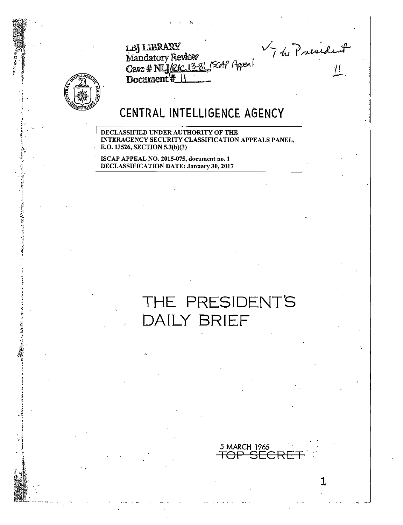F de President



## CENTRAL INTELLIGENCE AGENCY

Case # NLJ/RAC 13-81 /SCAP Appen

DECLASSIFIED UNDER AUTHORITY OF THE INTERAGENCY SECURITY CLASSIFICATION APPEALS PANEL, E.O. 13526, SECTION 5.3(b)(3)

ISCAP APPEAL NO. 2015-075, document no. 1 **DECLASSIFICATION DATE: January 30, 2017** 

LBJ LIBRARY

Document\*

Mandatory Review

# THE PRESIDENT'S DAILY BRIEF

5 MARCH\_1965

AP

 $\overline{\mathbb{H}}$ 

1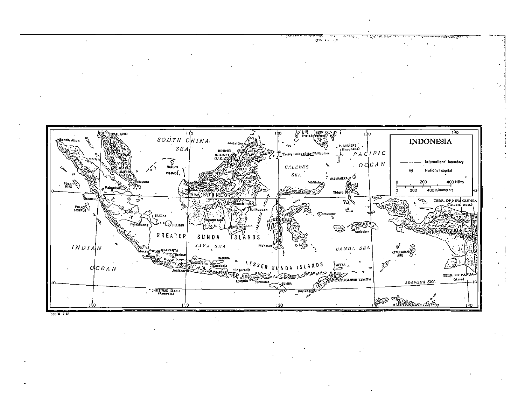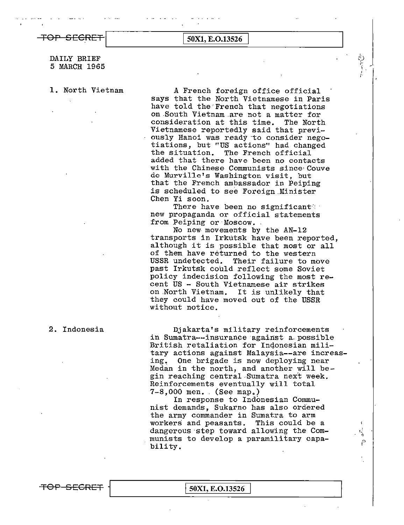## DAILY BRIEF 5 MARCH 1965

1. North Vietnam A French foreign office official says that the North Vietnamese in Paris have told the·French that negotiations on.South Vietnam .are not a matter for consideration at this time. The North Vietnamese reportedly said that previously Hanoi was ready to consider negotiations, but "US actions" had changed the situation. The French official added that there have been no contacts with the Chinese Communists since·Couve de Murville's Washington visit, but that the French ambassador in Peiping is scheduled to see Foreign.Minister Chen Yi soon.

 $\dot{v}$ 

There have been no significant<sup>9</sup>:<br>new propaganda or official statements<br>from Peiping or Moscow.

No new movements by the AN-12 transports in Irkutsk have been reported, although it is possible that most or all of them have returned to the western<br>USSR undetected. Their failure to me Their failure to move past Irkutsk could reflect some Soviet policy indecision following the most recent US - South Vietnamese air strikes on North Vietnam. It is unlikely that they could have moved out of the USSR without notice.

2. Indonesia

Djakarta's military reinforcements in Sumatra--insurance against a possible British retaliation for Indonesian military actions against Malaysia--are increas-<br>ing. One brigade is now deploying near One brigade is now deploying near Medan in the north, and another will begin reaching central Sumatra next week. Reinforcements eventually will total 7-8,000 men. (See map.)

In response to Indonesian Communist demands, Sukarno has also ordered the army commander in Sumatra to arm<br>workers and peasants. This could be a workers and peasants. dangerous step toward allowing the Communists to develop a paramilitary capa- $\frac{1}{\beta}$ bility.

TOP SECRET | 50X1, E.O.13526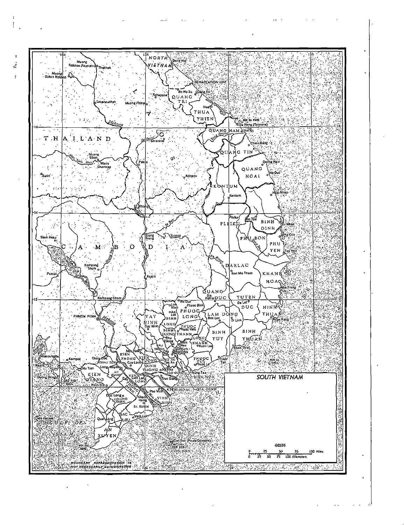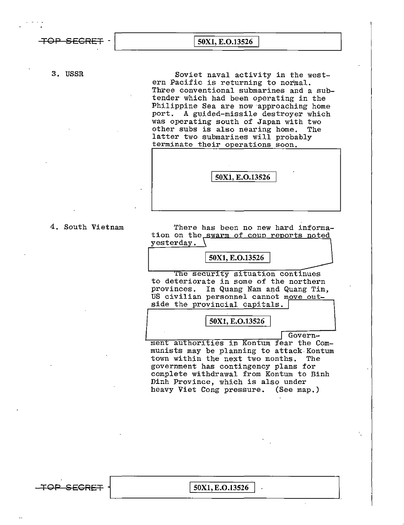**TO p 5 EGRET** - I **50Xl, E.0.13526** 

3. USSR Soviet naval activity in the western Pacific is returning to normal. Three conventional submarines and a subtender which had been operating in the Philippine Sea are now approaching home port. A guided-missile destroyer which was operating south of Japan with two other subs is also nearing home. The latter two submarines will probably terminate their operations soon.

L\_\_~~~~-=========----~~~~\_J

| . .             |  |
|-----------------|--|
| 50X1, E.O.13526 |  |
|                 |  |

4. South Vietnam There has been no new hard information on the swarm of coup reports noted yesterday,

I **50Xl, E.0.13526** 

The security situation continues to deteriorate in some of the northern provinces. In Quang Nam and Quang Tin, US civilian personnel cannot move outside the provincial capitals.

50X1, E.O.13526

Govern-

ment authorities in Kontum fear the Communists may be planning to attack Kontum town within the next two months. The government has contingency plans for complete withdrawal from Kontum to Binh Dinh Province, which is also under heavy Viet Cong pressure. (See map.)

TOP SECRET | 50X1, E.O.13526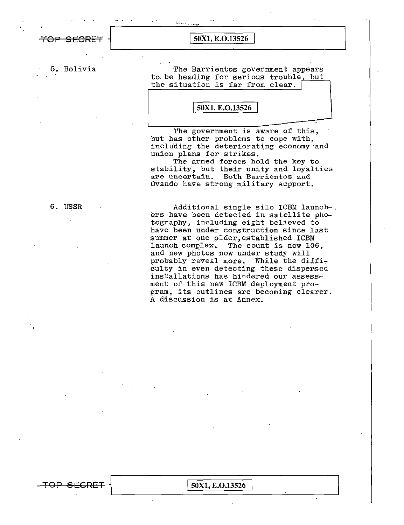**TOP SECRET**  $\cdot$  50X1, E.O.13526

... ·····'-'•

..-

5. Bolivia The Barrientos government appears to be heading for serious trouble, but the situation is far from clear.

I **50Xl, E.0.13526** 

The government is aware of this, but has other problems to cope with, including the deteriorating economy and union plans for strikes.

The armed forces hold the key to stability, but their unity and loyalties are uncertain. Both Barrientos and Ovando have strong military support.

6. USSR (2008) Additional single silo ICBM launchers have been detected in satellite photography, including eight believed to have been under construction since last summer at one plder,established ICBM launch complex. The count is now 106, and new photos now under study will probably reveal more. While the difficulty in even detecting these dispersed installations has hindered our assessment of this new ICBM deployment program, its outlines are becoming clearer. A discussion is at Annex.

 $\overline{50X1, E. O.13526}$  $\leftarrow$  TOP SEGRET  $\left\{ \right. 50X1, E.0.13526 \right\}$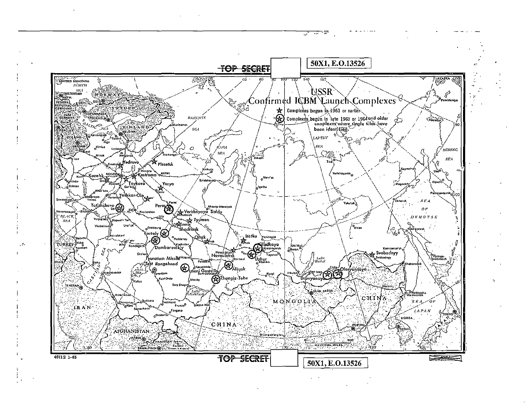

- ਦਾ

ತ್  $\overline{\phantom{a}}$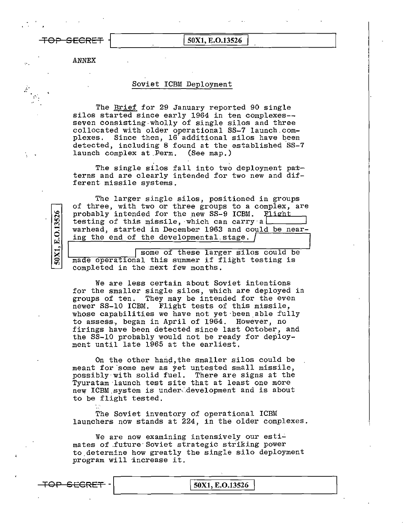TOP SECRET  $\boxed{\frac{50X1, E.0.13526}{50X1, E.0.13526}}$ 

:·.'.

ANNEX

## Soviet ICBM Deployment

The Brief for 29 January reported 90 single silos started since early 1964 in ten complexes seven consisting wholly of single silos and three collocated with older operational SS-7 launch.complexes, Since then, 16' additional silos have been detected, including 8 found at the established SS-7<br>launch complex at Perm. (See map.) launch complex at Perm.

The single silos fall into two deployment patterns and are clearly intended for two new and different. missile systems.

The larger single silos, positioned in groups of three, with two or three groups to a complex, are probably intended for the new SS-9 ICBM. Fiight testing of this missile, which can carry a warhead, started in December 1963 and could be nearing the end of the developmental.stage.

some of these larger silos could be made operational this summer if flight testing is completed in the mext few months.

We are less certain about Soviet intentions for the smaller single silos, which are deployed in groups of ten. They may be intended for the even newer SS-10 ICBM. Flight tests of this missile, whose capabilities we have not yet been able fully to assess, began in April of 1964. However, no firings have been detected since last October, and the SS-10 probably would not be ready for deployment until late 1965 at the earliest.

On the other hand, the smaller silos could be meant for some new as yet untested small missile, possibly with solid fuel. There are signs at the Tyuratam launch test site that at least one more new ICBM system is under development and is about to be flight tested,

The Soviet inventory of operational ICBM launchers now stands at 224, in the older complexes.

We are now examining intensively our estimates of .future· Soviet strategic striking power to.determine how greatly the single silo deployment program will increase it.

50X1, E.O.13526

TOP GECRET -\.\_\_\_\_\_\_\_\_is\_o\_x\_1\_,E\_.\_o\_.1\_Js\_2\_6\_\_\_\_\_\_\_~